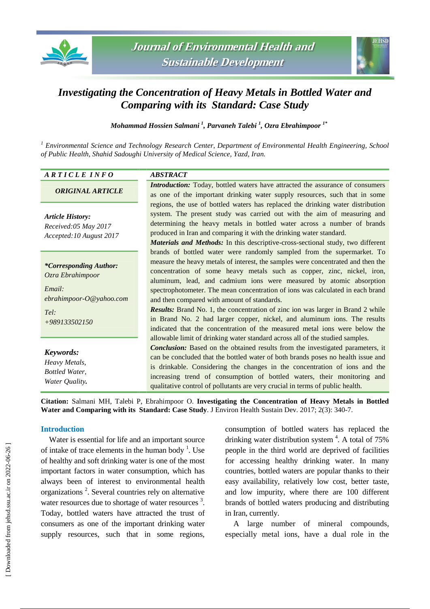



# *Investigating the Concentration of Heavy Metals in Bottled Water and Comparing with its Standard: Case Study*

*Mohammad Hossien Salmani <sup>1</sup> , Parvaneh Talebi <sup>1</sup> , Ozra Ebrahimpoor 1\**

*<sup>1</sup> Environmental Science and Technology Research Center, Department of Environmental Health Engineering, School of Public Health, Shahid Sadoughi University of Medical Science, Yazd, Iran.*

# *A R T I C L E I N F O ABSTRACT*

# *ORIGINAL ARTICLE*

*Article History: Received:05 May 2017 Accepted:10 August 2017*

### *\*Corresponding Author: Ozra Ebrahimpoor*

*Email: ebrahimpoor-O@yahoo.com*

*Tel: +989133502150*

# *Keywords:*

*Heavy Metals, Bottled Water, Water Quality.*

*Introduction:* Today, bottled waters have attracted the assurance of consumers as one of the important drinking water supply resources, such that in some regions, the use of bottled waters has replaced the drinking water distribution system. The present study was carried out with the aim of measuring and determining the heavy metals in bottled water across a number of brands produced in Iran and comparing it with the drinking water standard.

*Materials and Methods:* In this descriptive-cross-sectional study, two different brands of bottled water were randomly sampled from the supermarket. To measure the heavy metals of interest, the samples were concentrated and then the concentration of some heavy metals such as copper, zinc, nickel, iron, aluminum, lead, and cadmium ions were measured by atomic absorption spectrophotometer. The mean concentration of ions was calculated in each brand and then compared with amount of standards.

*Results:* Brand No. 1, the concentration of zinc ion was larger in Brand 2 while in Brand No. 2 had larger copper, nickel, and aluminum ions. The results indicated that the concentration of the measured metal ions were below the allowable limit of drinking water standard across all of the studied samples.

*Conclusion:* Based on the obtained results from the investigated parameters, it can be concluded that the bottled water of both brands poses no health issue and is drinkable. Considering the changes in the concentration of ions and the increasing trend of consumption of bottled waters, their monitoring and qualitative control of pollutants are very crucial in terms of public health.

**Citation:** Salmani MH, Talebi P, Ebrahimpoor O. **Investigating the Concentration of Heavy Metals in Bottled Water and Comparing with its Standard: Case Study**. J Environ Health Sustain Dev. 2017; 2(3): 340-7.

# **Introduction**

Water is essential for life and an important source of intake of trace elements in the human body<sup>1</sup>. Use of healthy and soft drinking water is one of the most important factors in water consumption, which has always been of interest to environmental health organizations<sup>2</sup>. Several countries rely on alternative water resources due to shortage of water resources<sup>3</sup>. Today, bottled waters have attracted the trust of consumers as one of the important drinking water supply resources, such that in some regions, consumption of bottled waters has replaced the drinking water distribution system  $4$ . A total of 75% people in the third world are deprived of facilities for accessing healthy drinking water. In many countries, bottled waters are popular thanks to their easy availability, relatively low cost, better taste, and low impurity, where there are 100 different brands of bottled waters producing and distributing in Iran, currently.

A large number of mineral compounds, especially metal ions, have a dual role in the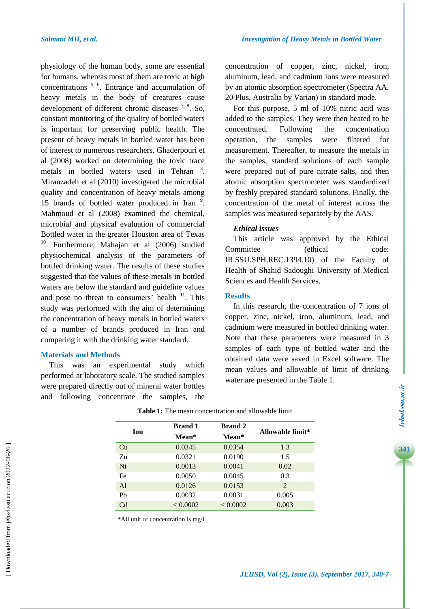physiology of the human body, some are essential for humans, whereas most of them are toxic at high concentrations  $5, 6$ . Entrance and accumulation of heavy metals in the body of creatures cause development of different chronic diseases  $7, 8$ . So, constant monitoring of the quality of bottled waters is important for preserving public health. The present of heavy metals in bottled water has been of interest to numerous researchers. Ghaderpouri et al (2008) worked on determining the toxic trace metals in bottled waters used in Tehran<sup>3</sup>. Miranzadeh et al (2010) investigated the microbial quality and concentration of heavy metals among 15 brands of bottled water produced in Iran 9. Mahmoud et al (2008) examined the chemical, microbial and physical evaluation of commercial Bottled water in the greater Houston area of Texas <sup>10</sup>. Furthermore, Mahajan et al (2006) studied physiochemical analysis of the parameters of bottled drinking water. The results of these studies suggested that the values of these metals in bottled waters are below the standard and guideline values and pose no threat to consumers' health  $11$ . This study was performed with the aim of determining the concentration of heavy metals in bottled waters of a number of brands produced in Iran and comparing it with the drinking water standard.

# **Materials and Methods**

This was an experimental study which performed at laboratory scale. The studied samples were prepared directly out of mineral water bottles and following concentrate the samples, the concentration of copper, zinc, nickel, iron, aluminum, lead, and cadmium ions were measured by an atomic absorption spectrometer (Spectra AA. 20 Plus, Australia by Varian) in standard mode.

For this purpose, 5 ml of 10% nitric acid was added to the samples. They were then heated to be concentrated. Following the concentration operation, the samples were filtered for measurement. Thereafter, to measure the metals in the samples, standard solutions of each sample were prepared out of pure nitrate salts, and then atomic absorption spectrometer was standardized by freshly prepared standard solutions. Finally, the concentration of the metal of interest across the samples was measured separately by the AAS.

# *Ethical issues*

This article was approved by the Ethical Committee (ethical code: IR.SSU.SPH.REC.1394.10) of the Faculty of Health of Shahid Sadoughi University of Medical Sciences and Health Services.

# **Results**

In this research, the concentration of 7 ions of copper, zinc, nickel, iron, aluminum, lead, and cadmium were measured in bottled drinking water. Note that these parameters were measured in 3 samples of each type of bottled water and the obtained data were saved in Excel software. The mean values and allowable of limit of drinking water are presented in the Table 1.

| Ion            | <b>Brand 1</b> | <b>Brand 2</b> | Allowable limit* |
|----------------|----------------|----------------|------------------|
|                | Mean*          | Mean*          |                  |
| Cu             | 0.0345         | 0.0354         | 1.3              |
| Z <sub>n</sub> | 0.0321         | 0.0190         | 1.5              |
| Ni             | 0.0013         | 0.0041         | 0.02             |
| Fe             | 0.0050         | 0.0045         | 0.3              |
| A <sup>1</sup> | 0.0126         | 0.0153         | $\mathcal{L}$    |
| Pb             | 0.0032         | 0.0031         | 0.005            |
| Cd             | < 0.0002       | < 0.0002       | 0.003            |

| <b>Table 1:</b> The mean concentration and allowable limit |
|------------------------------------------------------------|
|------------------------------------------------------------|

\*All unit of concentration is mg/l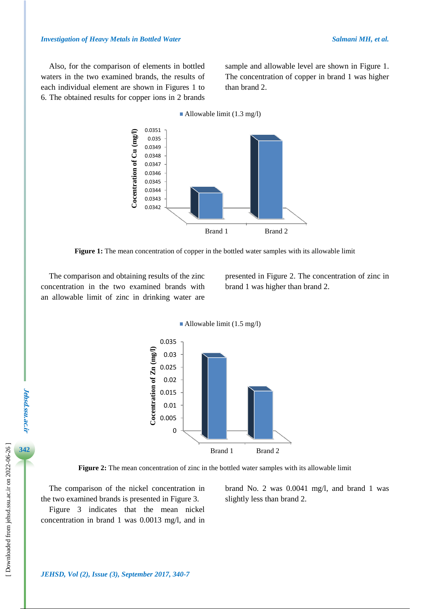Also, for the comparison of elements in bottled waters in the two examined brands, the results of each individual element are shown in Figures 1 to 6. The obtained results for copper ions in 2 brands sample and allowable level are shown in Figure 1. The concentration of copper in brand 1 was higher than brand 2.

Allowable limit  $(1.3 \text{ mg/l})$ 



**Figure 1:** The mean concentration of copper in the bottled water samples with its allowable limit

The comparison and obtaining results of the zinc concentration in the two examined brands with an allowable limit of zinc in drinking water are presented in Figure 2. The concentration of zinc in brand 1 was higher than brand 2.



**Figure 2:** The mean concentration of zinc in the bottled water samples with its allowable limit

The comparison of the nickel concentration in the two examined brands is presented in Figure 3.

Figure 3 indicates that the mean nickel concentration in brand 1 was 0.0013 mg/l, and in brand No. 2 was 0.0041 mg/l, and brand 1 was slightly less than brand 2.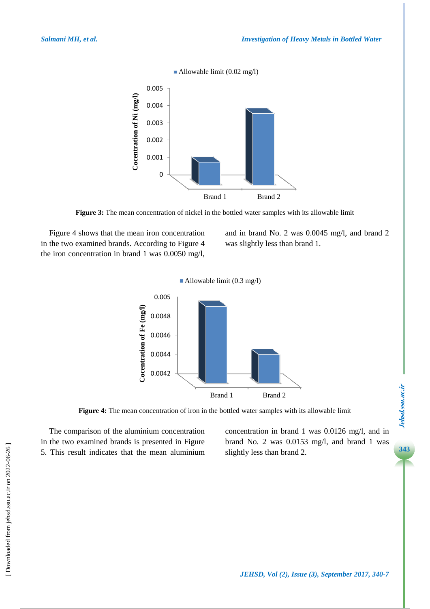

**Figure 3:** The mean concentration of nickel in the bottled water samples with its allowable limit

Figure 4 shows that the mean iron concentration in the two examined brands. According to Figure 4 the iron concentration in brand 1 was 0.0050 mg/l, and in brand No. 2 was 0.0045 mg/l, and brand 2 was slightly less than brand 1.



**Figure 4:** The mean concentration of iron in the bottled water samples with its allowable limit

The comparison of the aluminium concentration in the two examined brands is presented in Figure 5. This result indicates that the mean aluminium concentration in brand 1 was 0.0126 mg/l, and in brand No. 2 was 0.0153 mg/l, and brand 1 was slightly less than brand 2.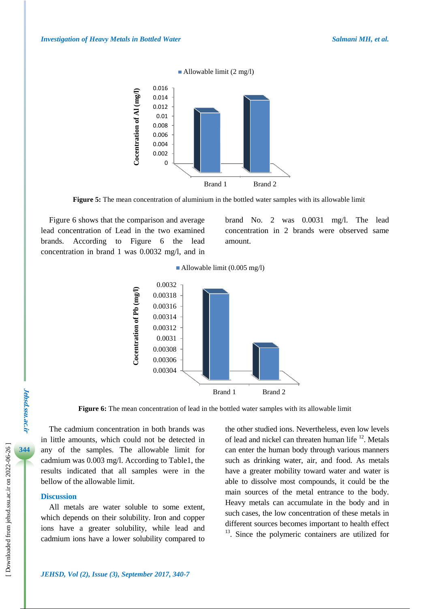

**Figure 5:** The mean concentration of aluminium in the bottled water samples with its allowable limit

Figure 6 shows that the comparison and average lead concentration of Lead in the two examined brands. According to Figure 6 the lead concentration in brand 1 was 0.0032 mg/l, and in brand No. 2 was 0.0031 mg/l. The lead concentration in 2 brands were observed same amount.





**Figure 6:** The mean concentration of lead in the bottled water samples with its allowable limit

The cadmium concentration in both brands was in little amounts, which could not be detected in any of the samples. The allowable limit for cadmium was 0.003 mg/l. According to Table1, the results indicated that all samples were in the bellow of the allowable limit.

#### **Discussion**

All metals are water soluble to some extent, which depends on their solubility. Iron and copper ions have a greater solubility, while lead and cadmium ions have a lower solubility compared to the other studied ions. Nevertheless, even low levels of lead and nickel can threaten human life <sup>12</sup>. Metals can enter the human body through various manners such as drinking water, air, and food. As metals have a greater mobility toward water and water is able to dissolve most compounds, it could be the main sources of the metal entrance to the body. Heavy metals can accumulate in the body and in such cases, the low concentration of these metals in different sources becomes important to health effect <sup>13</sup>. Since the polymeric containers are utilized for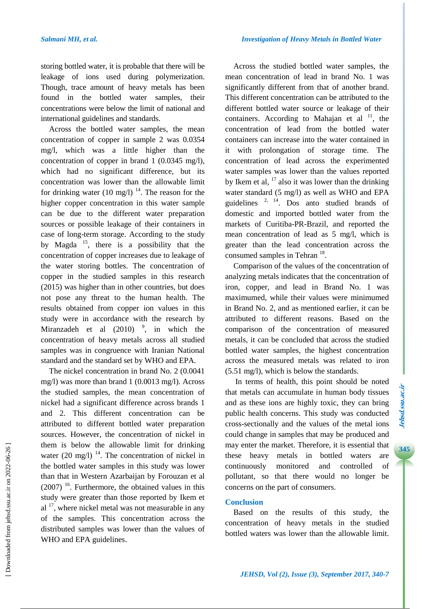storing bottled water, it is probable that there will be leakage of ions used during polymerization. Though, trace amount of heavy metals has been found in the bottled water samples, their concentrations were below the limit of national and international guidelines and standards.

Across the bottled water samples, the mean concentration of copper in sample 2 was 0.0354 mg/l, which was a little higher than the concentration of copper in brand 1 (0.0345 mg/l), which had no significant difference, but its concentration was lower than the allowable limit for drinking water  $(10 \text{ mg/l})$ <sup>14</sup>. The reason for the higher copper concentration in this water sample can be due to the different water preparation sources or possible leakage of their containers in case of long-term storage. According to the study by Magda  $^{15}$ , there is a possibility that the concentration of copper increases due to leakage of the water storing bottles. The concentration of copper in the studied samples in this research (2015) was higher than in other countries, but does not pose any threat to the human health. The results obtained from copper ion values in this study were in accordance with the research by Miranzadeh et al  $(2010)$ , in which the concentration of heavy metals across all studied samples was in congruence with Iranian National standard and the standard set by WHO and EPA.

The nickel concentration in brand No. 2 (0.0041 mg/l) was more than brand 1 (0.0013 mg/l). Across the studied samples, the mean concentration of nickel had a significant difference across brands 1 and 2. This different concentration can be attributed to different bottled water preparation sources. However, the concentration of nickel in them is below the allowable limit for drinking water  $(20 \text{ mg/l})$ <sup>14</sup>. The concentration of nickel in the bottled water samples in this study was lower than that in Western Azarbaijan by Forouzan et al  $(2007)$ <sup>16</sup>. Furthermore, the obtained values in this study were greater than those reported by Ikem et  $al<sup>17</sup>$ , where nickel metal was not measurable in any of the samples. This concentration across the distributed samples was lower than the values of WHO and EPA guidelines.

Across the studied bottled water samples, the mean concentration of lead in brand No. 1 was significantly different from that of another brand. This different concentration can be attributed to the different bottled water source or leakage of their containers. According to Mahajan et al  $11$ , the concentration of lead from the bottled water containers can increase into the water contained in it with prolongation of storage time. The concentration of lead across the experimented water samples was lower than the values reported by Ikem et al, <sup>17</sup> also it was lower than the drinking water standard (5 mg/l) as well as WHO and EPA guidelines <sup>2, 14</sup>. Dos anto studied brands of domestic and imported bottled water from the markets of Curitiba-PR-Brazil, and reported the mean concentration of lead as 5 mg/l, which is greater than the lead concentration across the consumed samples in Tehran<sup>18</sup>.

Comparison of the values of the concentration of analyzing metals indicates that the concentration of iron, copper, and lead in Brand No. 1 was maximumed, while their values were minimumed in Brand No. 2, and as mentioned earlier, it can be attributed to different reasons. Based on the comparison of the concentration of measured metals, it can be concluded that across the studied bottled water samples, the highest concentration across the measured metals was related to iron (5.51 mg/l), which is below the standards.

In terms of health, this point should be noted that metals can accumulate in human body tissues and as these ions are highly toxic, they can bring public health concerns. This study was conducted cross-sectionally and the values of the metal ions could change in samples that may be produced and may enter the market. Therefore, it is essential that these heavy metals in bottled waters are continuously monitored and controlled of pollutant, so that there would no longer be concerns on the part of consumers.

# **Conclusion**

Based on the results of this study, the concentration of heavy metals in the studied bottled waters was lower than the allowable limit.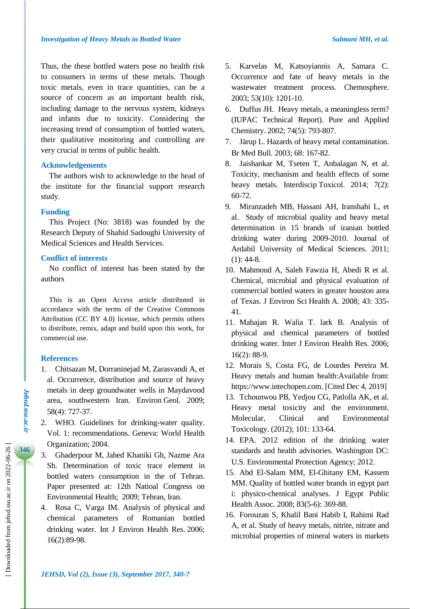Thus, the these bottled waters pose no health risk to consumers in terms of these metals. Though toxic metals, even in trace quantities, can be a source of concern as an important health risk, including damage to the nervous system, kidneys and infants due to toxicity. Considering the increasing trend of consumption of bottled waters, their qualitative monitoring and controlling are very crucial in terms of public health.

# **Acknowledgements**

The authors wish to acknowledge to the head of the institute for the financial support research study.

### **Funding**

This Project (No: 3818) was founded by the Research Deputy of Shahid Sadoughi University of Medical Sciences and Health Services.

# **Conflict of interests**

No conflict of interest has been stated by the authors

This is an Open Access article distributed in accordance with the terms of the Creative Commons Attribution (CC BY 4.0) license, which permits others to distribute, remix, adapt and build upon this work, for commercial use.

### **References**

- 1. Chitsazan M, Dorraninejad M, Zarasvandi A, et al. Occurrence, distribution and source of heavy metals in deep groundwater wells in Maydavood area, southwestern Iran. Environ Geol. 2009; 58(4): 727-37.
- 2. WHO. Guidelines for drinking-water quality. Vol. 1: recommendations. Geneva: World Health Organization; 2004.
- 3. Ghaderpour M, Jahed Khaniki Gh, Nazme Ara Sh. Determination of toxic trace element in bottled waters consumption in the of Tehran. Paper presented at: 12th Natioal Congress on Environmental Health; 2009; Tehran, Iran.
- 4. Rosa C, Varga IM. Analysis of physical and chemical parameters of Romanian bottled drinking water. [Int J Environ Health Res.](https://www.ncbi.nlm.nih.gov/pubmed/16602194) 2006; 16(2):89-98.
- 5. Karvelas M, Katsoyiannis A, Samara C. Occurrence and fate of heavy metals in the wastewater treatment process. Chemosphere. 2003; 53(10): 1201-10.
- 6. Duffus JH. Heavy metals, a meaningless term? (IUPAC Technical Report). Pure and Applied Chemistry. 2002; 74(5): 793-807.
- 7. Järup L. Hazards of heavy metal contamination. Br Med Bull. 2003; 68: 167-82.
- 8. Jaishankar M, Tseten T, Anbalagan N, et al. Toxicity, mechanism and health effects of some heavy metals. Interdiscip Toxicol. 2014; 7(2): 60-72.
- 9. Miranzadeh MB, Hassani AH, Iranshahi L, et al. Study of microbial quality and heavy metal determination in 15 brands of iranian bottled drinking water during 2009-2010. Journal of Ardabil University of Medical Sciences. 2011;  $(1)$ : 44-8.
- 10. Mahmoud A, Saleh Fawzia H, Abedi R et al. Chemical, microbial and physical evaluation of commercial bottled waters in greater houston area of Texas. J Environ Sci Health A. 2008; 43: 335- 41.
- 11. Mahajan R. Walia T. lark B. Analysis of physical and chemical parameters of bottled drinking water. Inter J Environ Health Res. 2006; 16(2): 88-9.
- 12. Morais S, Costa FG, de Lourdes Pereira M. Heavy metals and human health:Available from: [https://www.intechopen.com.](https://www.intechopen.com/) [Cited Dec 4, 2019]
- 13. Tchounwou PB, Yedjou CG, Patlolla AK, et al. Heavy metal toxicity and the environment. Molecular, Clinical and Environmental Toxicology. (2012); 101: 133-64.
- 14. EPA. 2012 edition of the drinking water standards and health advisories. Washington DC: U.S. Environmental Protection Agency; 2012.
- 15. Abd [El-Salam](https://www.ncbi.nlm.nih.gov/pubmed/?term=Abd%20El-Salam%20MM%5BAuthor%5D&cauthor=true&cauthor_uid=19493507) MM, [El-Ghitany](https://www.ncbi.nlm.nih.gov/pubmed/?term=El-Ghitany%20EM%5BAuthor%5D&cauthor=true&cauthor_uid=19493507) EM, [Kassem](https://www.ncbi.nlm.nih.gov/pubmed/?term=Kassem%20MM%5BAuthor%5D&cauthor=true&cauthor_uid=19493507) [MM.](https://www.ncbi.nlm.nih.gov/pubmed/?term=Kassem%20MM%5BAuthor%5D&cauthor=true&cauthor_uid=19493507) Quality of bottled water brands in egypt part i: physico-chemical analyses. J Egypt [Public](https://www.ncbi.nlm.nih.gov/pubmed/19493507) Health [Assoc.](https://www.ncbi.nlm.nih.gov/pubmed/19493507) 2008; 83(5-6): 369-88.
- 16. Forouzan S, Khalil Bani Habib I, Rahimi Rad A, et al. Study of heavy metals, nitrite, nitrate and microbial properties of mineral waters in markets

**Jehsd.ssu.ac.ir**

Jehsd.ssu.ac.ir